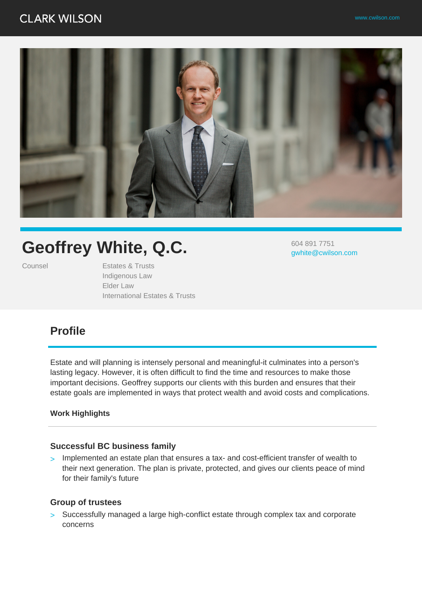## **CLARK WILSON**



# **Geoffrey White, Q.C.**

Counsel Estates & Trusts Indigenous Law Elder Law International Estates & Trusts 604 891 7751 gwhite@cwilson.com

# **Profile**

Estate and will planning is intensely personal and meaningful-it culminates into a person's lasting legacy. However, it is often difficult to find the time and resources to make those important decisions. Geoffrey supports our clients with this burden and ensures that their estate goals are implemented in ways that protect wealth and avoid costs and complications.

#### **Work Highlights**

#### **Successful BC business family**

> Implemented an estate plan that ensures a tax- and cost-efficient transfer of wealth to their next generation. The plan is private, protected, and gives our clients peace of mind for their family's future

#### **Group of trustees**

> Successfully managed a large high-conflict estate through complex tax and corporate concerns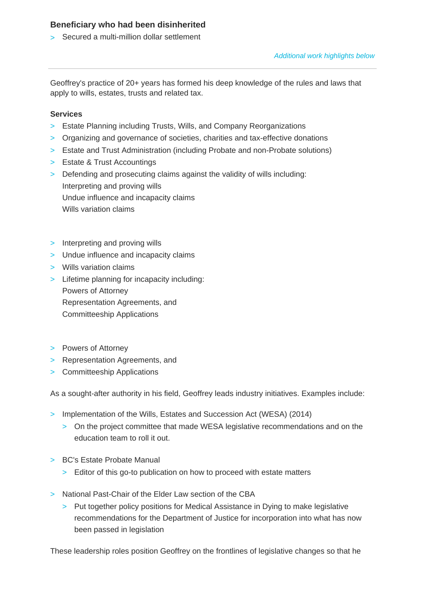### **Beneficiary who had been disinherited**

> Secured a multi-million dollar settlement

Geoffrey's practice of 20+ years has formed his deep knowledge of the rules and laws that apply to wills, estates, trusts and related tax.

#### **Services**

- > Estate Planning including Trusts, Wills, and Company Reorganizations
- > Organizing and governance of societies, charities and tax-effective donations
- > Estate and Trust Administration (including Probate and non-Probate solutions)
- > Estate & Trust Accountings
- > Defending and prosecuting claims against the validity of wills including: Interpreting and proving wills Undue influence and incapacity claims Wills variation claims
- > Interpreting and proving wills
- > Undue influence and incapacity claims
- > Wills variation claims
- > Lifetime planning for incapacity including: Powers of Attorney Representation Agreements, and Committeeship Applications
- > Powers of Attorney
- > Representation Agreements, and
- > Committeeship Applications

As a sought-after authority in his field, Geoffrey leads industry initiatives. Examples include:

- > Implementation of the Wills, Estates and Succession Act (WESA) (2014)
	- > On the project committee that made WESA legislative recommendations and on the education team to roll it out.
- > BC's Estate Probate Manual
	- > Editor of this go-to publication on how to proceed with estate matters
- > National Past-Chair of the Elder Law section of the CBA
	- > Put together policy positions for Medical Assistance in Dying to make legislative recommendations for the Department of Justice for incorporation into what has now been passed in legislation

These leadership roles position Geoffrey on the frontlines of legislative changes so that he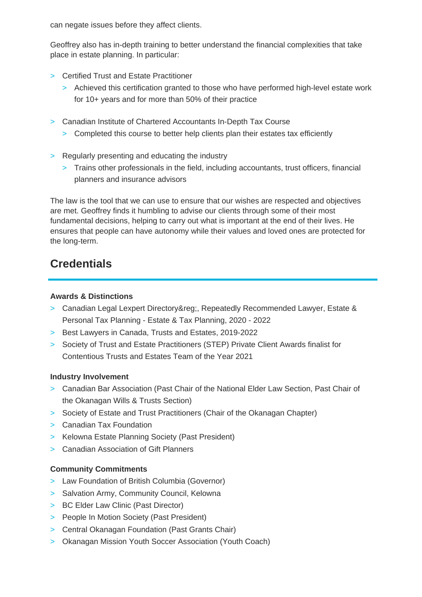can negate issues before they affect clients.

Geoffrey also has in-depth training to better understand the financial complexities that take place in estate planning. In particular:

- > Certified Trust and Estate Practitioner
	- > Achieved this certification granted to those who have performed high-level estate work for 10+ years and for more than 50% of their practice
- > Canadian Institute of Chartered Accountants In-Depth Tax Course
	- > Completed this course to better help clients plan their estates tax efficiently
- > Regularly presenting and educating the industry
	- > Trains other professionals in the field, including accountants, trust officers, financial planners and insurance advisors

The law is the tool that we can use to ensure that our wishes are respected and objectives are met. Geoffrey finds it humbling to advise our clients through some of their most fundamental decisions, helping to carry out what is important at the end of their lives. He ensures that people can have autonomy while their values and loved ones are protected for the long-term.

# **Credentials**

#### **Awards & Distinctions**

- > Canadian Legal Lexpert Directory®, Repeatedly Recommended Lawyer, Estate & Personal Tax Planning - Estate & Tax Planning, 2020 - 2022
- > Best Lawyers in Canada, Trusts and Estates, 2019-2022
- > Society of Trust and Estate Practitioners (STEP) Private Client Awards finalist for Contentious Trusts and Estates Team of the Year 2021

#### **Industry Involvement**

- > Canadian Bar Association (Past Chair of the National Elder Law Section, Past Chair of the Okanagan Wills & Trusts Section)
- > Society of Estate and Trust Practitioners (Chair of the Okanagan Chapter)
- > Canadian Tax Foundation
- > Kelowna Estate Planning Society (Past President)
- > Canadian Association of Gift Planners

### **Community Commitments**

- > Law Foundation of British Columbia (Governor)
- > Salvation Army, Community Council, Kelowna
- > BC Elder Law Clinic (Past Director)
- > People In Motion Society (Past President)
- > Central Okanagan Foundation (Past Grants Chair)
- > Okanagan Mission Youth Soccer Association (Youth Coach)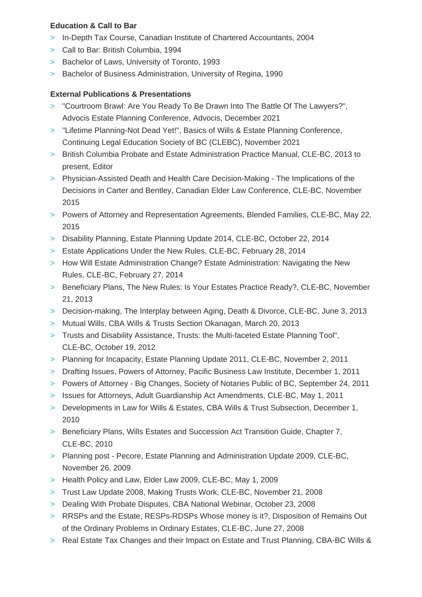#### **Education & Call to Bar**

- > In-Depth Tax Course, Canadian Institute of Chartered Accountants, 2004
- > Call to Bar: British Columbia, 1994
- > Bachelor of Laws, University of Toronto, 1993
- > Bachelor of Business Administration, University of Regina, 1990

#### **External Publications & Presentations**

- > "Courtroom Brawl: Are You Ready To Be Drawn Into The Battle Of The Lawyers?", Advocis Estate Planning Conference, Advocis, December 2021
- > "Lifetime Planning-Not Dead Yet!", Basics of Wills & Estate Planning Conference, Continuing Legal Education Society of BC (CLEBC), November 2021
- > British Columbia Probate and Estate Administration Practice Manual, CLE-BC, 2013 to present, Editor
- > Physician-Assisted Death and Health Care Decision-Making The Implications of the Decisions in Carter and Bentley, Canadian Elder Law Conference, CLE-BC, November 2015
- > Powers of Attorney and Representation Agreements, Blended Families, CLE-BC, May 22, 2015
- > Disability Planning, Estate Planning Update 2014, CLE-BC, October 22, 2014
- > Estate Applications Under the New Rules, CLE-BC, February 28, 2014
- > How Will Estate Administration Change? Estate Administration: Navigating the New Rules, CLE-BC, February 27, 2014
- > Beneficiary Plans, The New Rules: Is Your Estates Practice Ready?, CLE-BC, November 21, 2013
- > Decision-making, The Interplay between Aging, Death & Divorce, CLE-BC, June 3, 2013
- > Mutual Wills, CBA Wills & Trusts Section Okanagan, March 20, 2013
- > Trusts and Disability Assistance, Trusts: the Multi-faceted Estate Planning Tool", CLE-BC, October 19, 2012
- > Planning for Incapacity, Estate Planning Update 2011, CLE-BC, November 2, 2011
- > Drafting Issues, Powers of Attorney, Pacific Business Law Institute, December 1, 2011
- > Powers of Attorney Big Changes, Society of Notaries Public of BC, September 24, 2011
- > Issues for Attorneys, Adult Guardianship Act Amendments, CLE-BC, May 1, 2011
- > Developments in Law for Wills & Estates, CBA Wills & Trust Subsection, December 1, 2010
- > Beneficiary Plans, Wills Estates and Succession Act Transition Guide, Chapter 7, CLE-BC, 2010
- > Planning post Pecore, Estate Planning and Administration Update 2009, CLE-BC, November 26, 2009
- > Health Policy and Law, Elder Law 2009, CLE-BC, May 1, 2009
- > Trust Law Update 2008, Making Trusts Work, CLE-BC, November 21, 2008
- > Dealing With Probate Disputes, CBA National Webinar, October 23, 2008
- > RRSPs and the Estate, RESPs-RDSPs Whose money is it?, Disposition of Remains Out of the Ordinary Problems in Ordinary Estates, CLE-BC, June 27, 2008
- > Real Estate Tax Changes and their Impact on Estate and Trust Planning, CBA-BC Wills &